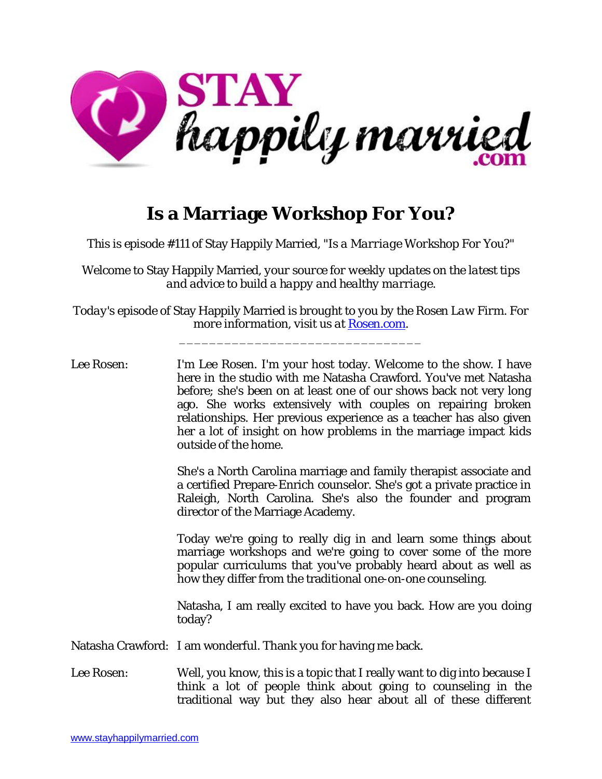

## **Is a Marriage Workshop For You?**

*This is episode #111 of* Stay Happily Married, *"Is a Marriage Workshop For You?*"

*Welcome to* Stay Happily Married*, your source for weekly updates on the latest tips and advice to build a happy and healthy marriage.*

*Today's episode of* Stay Happily Married *is brought to you by the Rosen Law Firm. For more information, visit us at Rosen.com.* 

\_\_\_\_\_\_\_\_\_\_\_\_\_\_\_\_\_\_\_\_\_\_\_\_\_\_\_\_\_\_\_\_

Lee Rosen: I'm Lee Rosen. I'm your host today. Welcome to the show. I have here in the studio with me Natasha Crawford. You've met Natasha before; she's been on at least one of our shows back not very long ago. She works extensively with couples on repairing broken relationships. Her previous experience as a teacher has also given her a lot of insight on how problems in the marriage impact kids outside of the home.

> She's a North Carolina marriage and family therapist associate and a certified Prepare-Enrich counselor. She's got a private practice in Raleigh, North Carolina. She's also the founder and program director of the Marriage Academy.

> Today we're going to really dig in and learn some things about marriage workshops and we're going to cover some of the more popular curriculums that you've probably heard about as well as how they differ from the traditional one-on-one counseling.

> Natasha, I am really excited to have you back. How are you doing today?

Natasha Crawford: I am wonderful. Thank you for having me back.

Lee Rosen: Well, you know, this is a topic that I really want to dig into because I think a lot of people think about going to counseling in the traditional way but they also hear about all of these different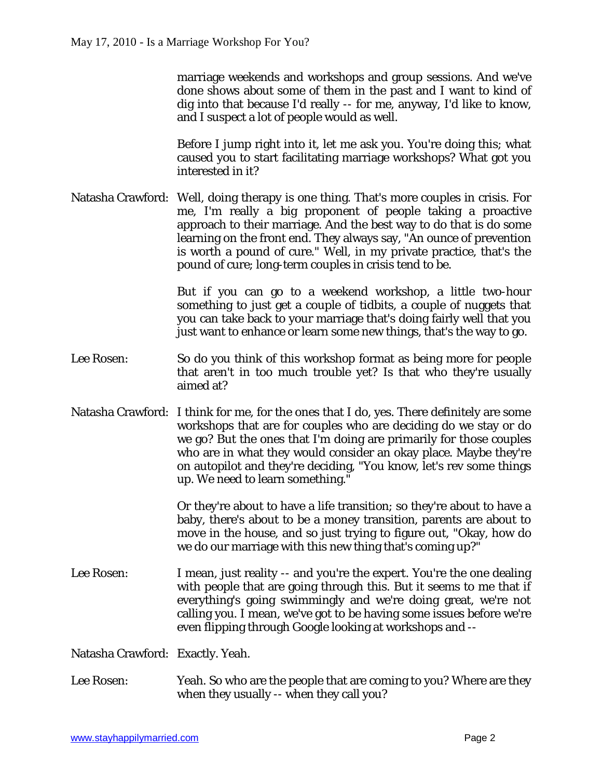marriage weekends and workshops and group sessions. And we've done shows about some of them in the past and I want to kind of dig into that because I'd really -- for me, anyway, I'd like to know, and I suspect a lot of people would as well.

Before I jump right into it, let me ask you. You're doing this; what caused you to start facilitating marriage workshops? What got you interested in it?

Natasha Crawford: Well, doing therapy is one thing. That's more couples in crisis. For me, I'm really a big proponent of people taking a proactive approach to their marriage. And the best way to do that is do some learning on the front end. They always say, "An ounce of prevention is worth a pound of cure." Well, in my private practice, that's the pound of cure; long-term couples in crisis tend to be.

> But if you can go to a weekend workshop, a little two-hour something to just get a couple of tidbits, a couple of nuggets that you can take back to your marriage that's doing fairly well that you just want to enhance or learn some new things, that's the way to go.

- Lee Rosen: So do you think of this workshop format as being more for people that aren't in too much trouble yet? Is that who they're usually aimed at?
- Natasha Crawford: I think for me, for the ones that I do, yes. There definitely are some workshops that are for couples who are deciding do we stay or do we go? But the ones that I'm doing are primarily for those couples who are in what they would consider an okay place. Maybe they're on autopilot and they're deciding, "You know, let's rev some things up. We need to learn something."

Or they're about to have a life transition; so they're about to have a baby, there's about to be a money transition, parents are about to move in the house, and so just trying to figure out, "Okay, how do we do our marriage with this new thing that's coming up?"

Lee Rosen: I mean, just reality -- and you're the expert. You're the one dealing with people that are going through this. But it seems to me that if everything's going swimmingly and we're doing great, we're not calling you. I mean, we've got to be having some issues before we're even flipping through Google looking at workshops and --

Natasha Crawford: Exactly. Yeah.

Lee Rosen: Yeah. So who are the people that are coming to you? Where are they when they usually -- when they call you?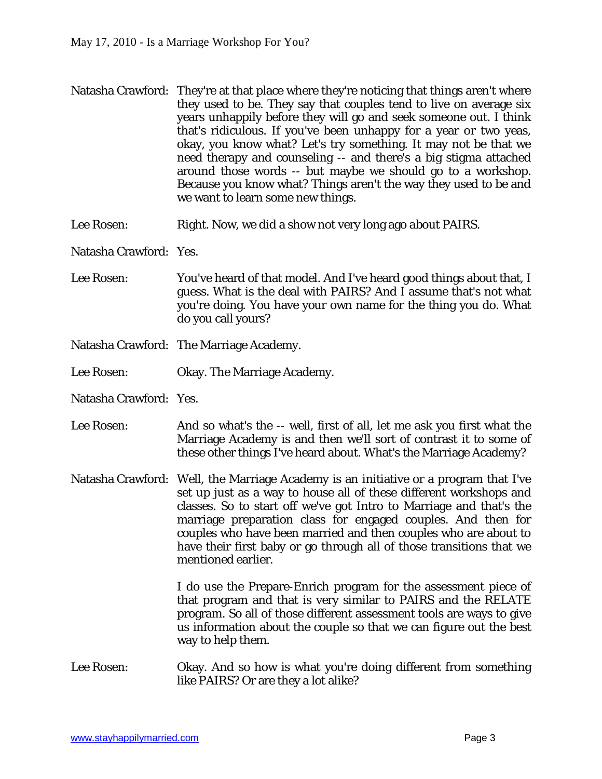- Natasha Crawford: They're at that place where they're noticing that things aren't where they used to be. They say that couples tend to live on average six years unhappily before they will go and seek someone out. I think that's ridiculous. If you've been unhappy for a year or two yeas, okay, you know what? Let's try something. It may not be that we need therapy and counseling -- and there's a big stigma attached around those words -- but maybe we should go to a workshop. Because you know what? Things aren't the way they used to be and we want to learn some new things.
- Lee Rosen: Right. Now, we did a show not very long ago about PAIRS.

Natasha Crawford: Yes.

- Lee Rosen: You've heard of that model. And I've heard good things about that, I guess. What is the deal with PAIRS? And I assume that's not what you're doing. You have your own name for the thing you do. What do you call yours?
- Natasha Crawford: The Marriage Academy.
- Lee Rosen: Chay. The Marriage Academy.
- Natasha Crawford: Yes.
- Lee Rosen: And so what's the -- well, first of all, let me ask you first what the Marriage Academy is and then we'll sort of contrast it to some of these other things I've heard about. What's the Marriage Academy?
- Natasha Crawford: Well, the Marriage Academy is an initiative or a program that I've set up just as a way to house all of these different workshops and classes. So to start off we've got Intro to Marriage and that's the marriage preparation class for engaged couples. And then for couples who have been married and then couples who are about to have their first baby or go through all of those transitions that we mentioned earlier.

I do use the Prepare-Enrich program for the assessment piece of that program and that is very similar to PAIRS and the RELATE program. So all of those different assessment tools are ways to give us information about the couple so that we can figure out the best way to help them.

Lee Rosen: Okay. And so how is what you're doing different from something like PAIRS? Or are they a lot alike?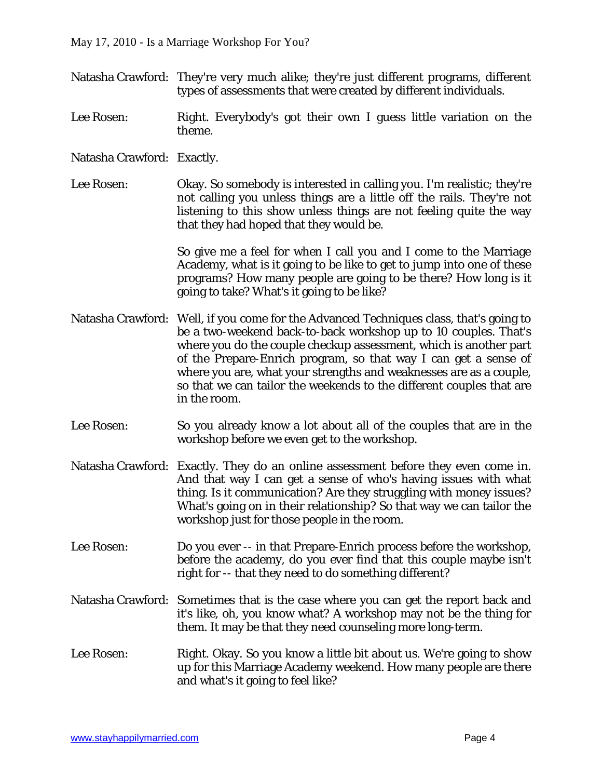- Natasha Crawford: They're very much alike; they're just different programs, different types of assessments that were created by different individuals.
- Lee Rosen: Right. Everybody's got their own I guess little variation on the theme.
- Natasha Crawford: Exactly.
- Lee Rosen: Okay. So somebody is interested in calling you. I'm realistic; they're not calling you unless things are a little off the rails. They're not listening to this show unless things are not feeling quite the way that they had hoped that they would be.

So give me a feel for when I call you and I come to the Marriage Academy, what is it going to be like to get to jump into one of these programs? How many people are going to be there? How long is it going to take? What's it going to be like?

- Natasha Crawford: Well, if you come for the Advanced Techniques class, that's going to be a two-weekend back-to-back workshop up to 10 couples. That's where you do the couple checkup assessment, which is another part of the Prepare-Enrich program, so that way I can get a sense of where you are, what your strengths and weaknesses are as a couple, so that we can tailor the weekends to the different couples that are in the room.
- Lee Rosen: So you already know a lot about all of the couples that are in the workshop before we even get to the workshop.
- Natasha Crawford: Exactly. They do an online assessment before they even come in. And that way I can get a sense of who's having issues with what thing. Is it communication? Are they struggling with money issues? What's going on in their relationship? So that way we can tailor the workshop just for those people in the room.
- Lee Rosen: Do you ever -- in that Prepare-Enrich process before the workshop, before the academy, do you ever find that this couple maybe isn't right for -- that they need to do something different?
- Natasha Crawford: Sometimes that is the case where you can get the report back and it's like, oh, you know what? A workshop may not be the thing for them. It may be that they need counseling more long-term.
- Lee Rosen: Right. Okay. So you know a little bit about us. We're going to show up for this Marriage Academy weekend. How many people are there and what's it going to feel like?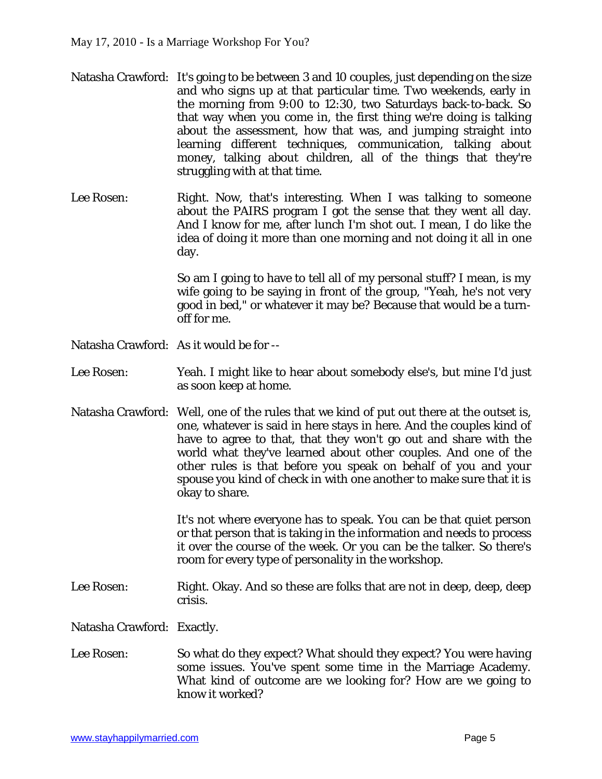- Natasha Crawford: It's going to be between 3 and 10 couples, just depending on the size and who signs up at that particular time. Two weekends, early in the morning from 9:00 to 12:30, two Saturdays back-to-back. So that way when you come in, the first thing we're doing is talking about the assessment, how that was, and jumping straight into learning different techniques, communication, talking about money, talking about children, all of the things that they're struggling with at that time.
- Lee Rosen: Right. Now, that's interesting. When I was talking to someone about the PAIRS program I got the sense that they went all day. And I know for me, after lunch I'm shot out. I mean, I do like the idea of doing it more than one morning and not doing it all in one day.

So am I going to have to tell all of my personal stuff? I mean, is my wife going to be saying in front of the group, "Yeah, he's not very good in bed," or whatever it may be? Because that would be a turnoff for me.

- Natasha Crawford: As it would be for --
- Lee Rosen: Yeah. I might like to hear about somebody else's, but mine I'd just as soon keep at home.
- Natasha Crawford: Well, one of the rules that we kind of put out there at the outset is, one, whatever is said in here stays in here. And the couples kind of have to agree to that, that they won't go out and share with the world what they've learned about other couples. And one of the other rules is that before you speak on behalf of you and your spouse you kind of check in with one another to make sure that it is okay to share.

It's not where everyone has to speak. You can be that quiet person or that person that is taking in the information and needs to process it over the course of the week. Or you can be the talker. So there's room for every type of personality in the workshop.

Lee Rosen: Right. Okay. And so these are folks that are not in deep, deep, deep crisis.

Natasha Crawford: Exactly.

Lee Rosen: So what do they expect? What should they expect? You were having some issues. You've spent some time in the Marriage Academy. What kind of outcome are we looking for? How are we going to know it worked?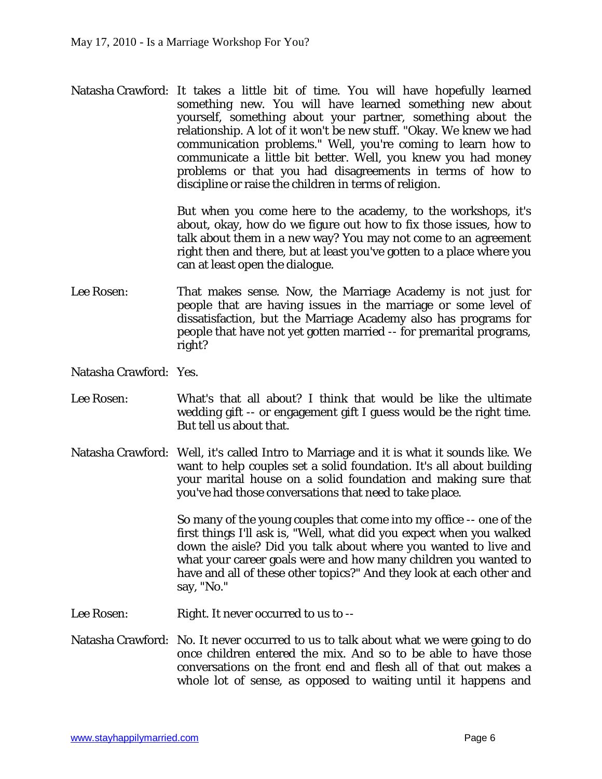Natasha Crawford: It takes a little bit of time. You will have hopefully learned something new. You will have learned something new about yourself, something about your partner, something about the relationship. A lot of it won't be new stuff. "Okay. We knew we had communication problems." Well, you're coming to learn how to communicate a little bit better. Well, you knew you had money problems or that you had disagreements in terms of how to discipline or raise the children in terms of religion.

> But when you come here to the academy, to the workshops, it's about, okay, how do we figure out how to fix those issues, how to talk about them in a new way? You may not come to an agreement right then and there, but at least you've gotten to a place where you can at least open the dialogue.

- Lee Rosen: That makes sense. Now, the Marriage Academy is not just for people that are having issues in the marriage or some level of dissatisfaction, but the Marriage Academy also has programs for people that have not yet gotten married -- for premarital programs, right?
- Natasha Crawford: Yes.
- Lee Rosen: What's that all about? I think that would be like the ultimate wedding gift -- or engagement gift I guess would be the right time. But tell us about that.
- Natasha Crawford: Well, it's called Intro to Marriage and it is what it sounds like. We want to help couples set a solid foundation. It's all about building your marital house on a solid foundation and making sure that you've had those conversations that need to take place.

So many of the young couples that come into my office -- one of the first things I'll ask is, "Well, what did you expect when you walked down the aisle? Did you talk about where you wanted to live and what your career goals were and how many children you wanted to have and all of these other topics?" And they look at each other and say, "No."

- Lee Rosen: Right. It never occurred to us to --
- Natasha Crawford: No. It never occurred to us to talk about what we were going to do once children entered the mix. And so to be able to have those conversations on the front end and flesh all of that out makes a whole lot of sense, as opposed to waiting until it happens and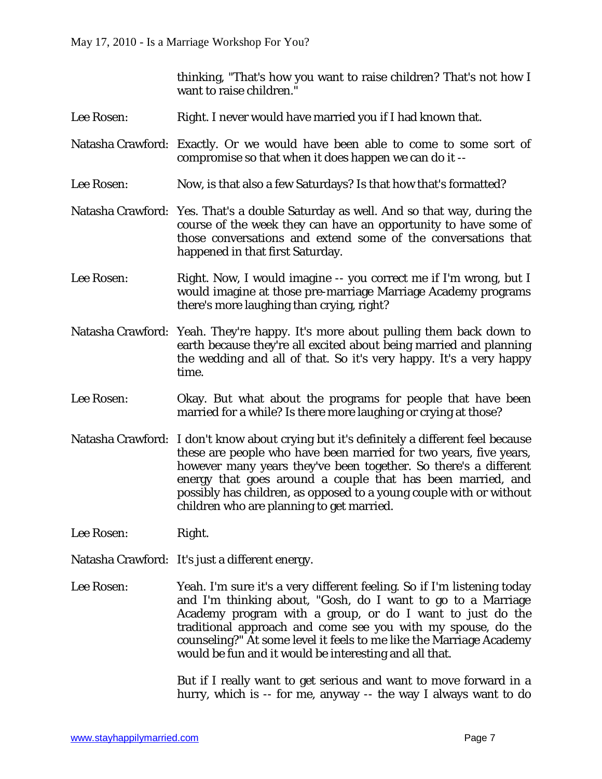thinking, "That's how you want to raise children? That's not how I want to raise children."

- Lee Rosen: Right. I never would have married you if I had known that.
- Natasha Crawford: Exactly. Or we would have been able to come to some sort of compromise so that when it does happen we can do it --
- Lee Rosen: Now, is that also a few Saturdays? Is that how that's formatted?
- Natasha Crawford: Yes. That's a double Saturday as well. And so that way, during the course of the week they can have an opportunity to have some of those conversations and extend some of the conversations that happened in that first Saturday.
- Lee Rosen: Right. Now, I would imagine -- you correct me if I'm wrong, but I would imagine at those pre-marriage Marriage Academy programs there's more laughing than crying, right?
- Natasha Crawford: Yeah. They're happy. It's more about pulling them back down to earth because they're all excited about being married and planning the wedding and all of that. So it's very happy. It's a very happy time.
- Lee Rosen: Okay. But what about the programs for people that have been married for a while? Is there more laughing or crying at those?
- Natasha Crawford: I don't know about crying but it's definitely a different feel because these are people who have been married for two years, five years, however many years they've been together. So there's a different energy that goes around a couple that has been married, and possibly has children, as opposed to a young couple with or without children who are planning to get married.
- Lee Rosen: Right.
- Natasha Crawford: It's just a different energy.
- Lee Rosen: Yeah. I'm sure it's a very different feeling. So if I'm listening today and I'm thinking about, "Gosh, do I want to go to a Marriage Academy program with a group, or do I want to just do the traditional approach and come see you with my spouse, do the counseling?" At some level it feels to me like the Marriage Academy would be fun and it would be interesting and all that.

But if I really want to get serious and want to move forward in a hurry, which is -- for me, anyway -- the way I always want to do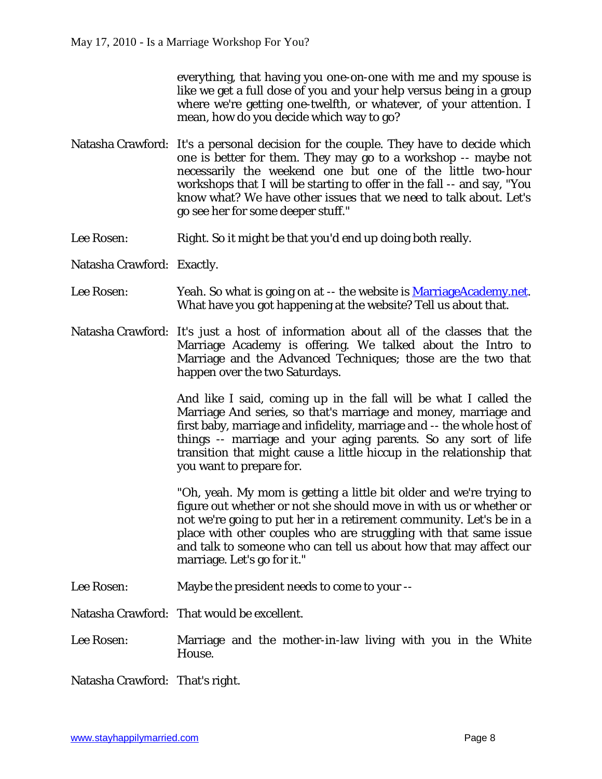everything, that having you one-on-one with me and my spouse is like we get a full dose of you and your help versus being in a group where we're getting one-twelfth, or whatever, of your attention. I mean, how do you decide which way to go?

- Natasha Crawford: It's a personal decision for the couple. They have to decide which one is better for them. They may go to a workshop -- maybe not necessarily the weekend one but one of the little two-hour workshops that I will be starting to offer in the fall -- and say, "You know what? We have other issues that we need to talk about. Let's go see her for some deeper stuff."
- Lee Rosen: Right. So it might be that you'd end up doing both really.
- Natasha Crawford: Exactly.
- Lee Rosen: Yeah. So what is going on at -- the website is MarriageAcademy.net. What have you got happening at the website? Tell us about that.
- Natasha Crawford: It's just a host of information about all of the classes that the Marriage Academy is offering. We talked about the Intro to Marriage and the Advanced Techniques; those are the two that happen over the two Saturdays.

And like I said, coming up in the fall will be what I called the Marriage And series, so that's marriage and money, marriage and first baby, marriage and infidelity, marriage and -- the whole host of things -- marriage and your aging parents. So any sort of life transition that might cause a little hiccup in the relationship that you want to prepare for.

"Oh, yeah. My mom is getting a little bit older and we're trying to figure out whether or not she should move in with us or whether or not we're going to put her in a retirement community. Let's be in a place with other couples who are struggling with that same issue and talk to someone who can tell us about how that may affect our marriage. Let's go for it."

Lee Rosen: Maybe the president needs to come to your --

Natasha Crawford: That would be excellent.

Lee Rosen: Marriage and the mother-in-law living with you in the White House.

Natasha Crawford: That's right.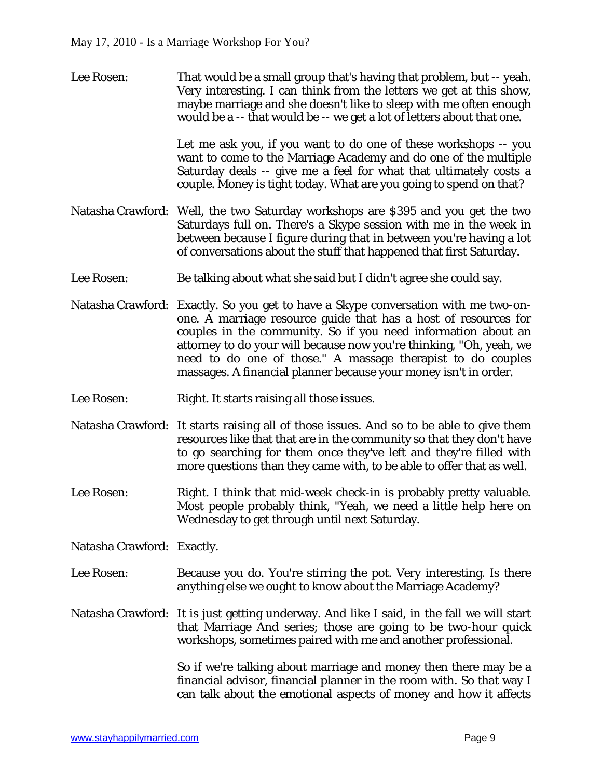Lee Rosen: That would be a small group that's having that problem, but -- yeah. Very interesting. I can think from the letters we get at this show, maybe marriage and she doesn't like to sleep with me often enough would be a -- that would be -- we get a lot of letters about that one.

> Let me ask you, if you want to do one of these workshops -- you want to come to the Marriage Academy and do one of the multiple Saturday deals -- give me a feel for what that ultimately costs a couple. Money is tight today. What are you going to spend on that?

- Natasha Crawford: Well, the two Saturday workshops are \$395 and you get the two Saturdays full on. There's a Skype session with me in the week in between because I figure during that in between you're having a lot of conversations about the stuff that happened that first Saturday.
- Lee Rosen: Be talking about what she said but I didn't agree she could say.
- Natasha Crawford: Exactly. So you get to have a Skype conversation with me two-onone. A marriage resource guide that has a host of resources for couples in the community. So if you need information about an attorney to do your will because now you're thinking, "Oh, yeah, we need to do one of those." A massage therapist to do couples massages. A financial planner because your money isn't in order.
- Lee Rosen: Right. It starts raising all those issues.
- Natasha Crawford: It starts raising all of those issues. And so to be able to give them resources like that that are in the community so that they don't have to go searching for them once they've left and they're filled with more questions than they came with, to be able to offer that as well.
- Lee Rosen: Right. I think that mid-week check-in is probably pretty valuable. Most people probably think, "Yeah, we need a little help here on Wednesday to get through until next Saturday.

Natasha Crawford: Exactly.

- Lee Rosen: Because you do. You're stirring the pot. Very interesting. Is there anything else we ought to know about the Marriage Academy?
- Natasha Crawford: It is just getting underway. And like I said, in the fall we will start that Marriage And series; those are going to be two-hour quick workshops, sometimes paired with me and another professional.

So if we're talking about marriage and money then there may be a financial advisor, financial planner in the room with. So that way I can talk about the emotional aspects of money and how it affects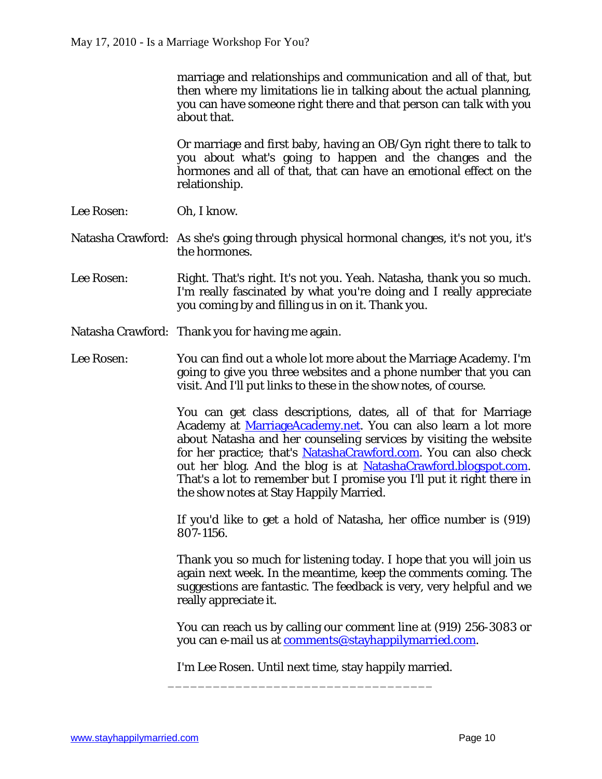marriage and relationships and communication and all of that, but then where my limitations lie in talking about the actual planning, you can have someone right there and that person can talk with you about that.

Or marriage and first baby, having an OB/Gyn right there to talk to you about what's going to happen and the changes and the hormones and all of that, that can have an emotional effect on the relationship.

- Lee Rosen: Oh, I know.
- Natasha Crawford: As she's going through physical hormonal changes, it's not you, it's the hormones.
- Lee Rosen: Right. That's right. It's not you. Yeah. Natasha, thank you so much. I'm really fascinated by what you're doing and I really appreciate you coming by and filling us in on it. Thank you.
- Natasha Crawford: Thank you for having me again.
- Lee Rosen: You can find out a whole lot more about the Marriage Academy. I'm going to give you three websites and a phone number that you can visit. And I'll put links to these in the show notes, of course.

You can get class descriptions, dates, all of that for Marriage Academy at MarriageAcademy.net. You can also learn a lot more about Natasha and her counseling services by visiting the website for her practice; that's NatashaCrawford.com. You can also check out her blog. And the blog is at NatashaCrawford.blogspot.com. That's a lot to remember but I promise you I'll put it right there in the show notes at Stay Happily Married.

If you'd like to get a hold of Natasha, her office number is (919) 807-1156.

Thank you so much for listening today. I hope that you will join us again next week. In the meantime, keep the comments coming. The suggestions are fantastic. The feedback is very, very helpful and we really appreciate it.

You can reach us by calling our comment line at (919) 256-3083 or you can e-mail us at [comments@stayhappilymarried.com.](mailto:comments@stayhappilymarried.com.) 

I'm Lee Rosen. Until next time, stay happily married.

\_\_\_\_\_\_\_\_\_\_\_\_\_\_\_\_\_\_\_\_\_\_\_\_\_\_\_\_\_\_\_\_\_\_\_